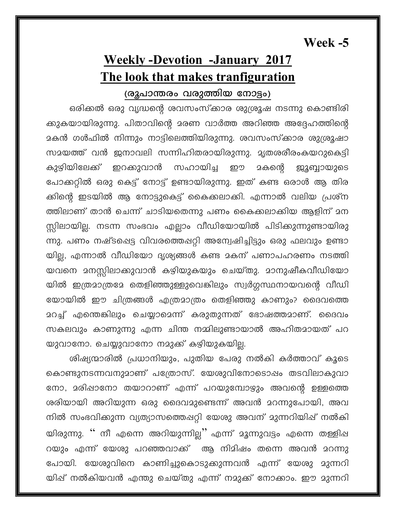Week -5

## **Weekly-Devotion -January 2017** The look that makes tranfiguration

## (രൂപാന്തരം വരുത്തിയ നോട്ടം)

ഒരിക്കൽ ഒരു വൃദ്ധന്റെ ശവസംസ്ക്കാര ശുശ്രൂഷ നടന്നു കൊണ്ടിരി ക്കുകയായിരുന്നു. പിതാവിന്റെ മരണ വാർത്ത അറിഞ്ഞ അദ്ദേഹത്തിന്റെ <mark>മകൻ ഗൾഫിൽ നിന്നും നാട്ടിലെത്തിയിരുന്നു. ശ</mark>വസംസ്ക്കാര ശുശ്രൂഷാ സമയത്ത് വൻ ജനാവലി സന്നിഹിതരായിരുന്നു. മൃതശരീരംകയറുകെട്ടി സഹായിച്ച കുഴിയിലേക്ക് ഇറക്കുവാൻ മകന്റെ ഈ <u>ജൂബ്ബായുടെ</u> പോക്കറ്റിൽ ഒരു കെട്ട് നോട്ട് ഉണ്ടായിരുന്നു. ഇത് കണ്ട ഒരാൾ ആ തിര ക്കിന്റെ ഇടയിൽ ആ നോട്ടുകെട്ട് കൈക്കലാക്കി. എന്നാൽ വലിയ പ്രശ്ന ത്തിലാണ് താൻ ചെന്ന് ചാടിയതെന്നു പണം കൈക്കലാക്കിയ ആളിന് മന സ്റ്റിലായില്ല. നടന്ന സംഭവം എല്ലാം വീഡിയോയിൽ പിടിക്കുന്നുണ്ടായിരു ന്നു. പണം നഷ്ടപ്പെട്ട വിവരത്തെഷറ്റി അന്വേഷിച്ചിട്ടും ഒരു ഫലവും ഉണ്ടാ യില്ല, എന്നാൽ വീഡിയോ ദൃശ്യങ്ങൾ കണ്ട മകന് പണാപഹരണം നടത്തി യവനെ മനസ്സിലാക്കുവാൻ കഴിയുകയും ചെയ്തു. മാനുഷീകവീഡിയോ യിൽ ഇത്രമാത്രമേ തെളിഞ്ഞുള്ളുവെങ്കിലും സ്വർഗ്ഗസ്ഥനായവന്റെ വീഡി യോയിൽ ഈ ചിത്രങ്ങൾ എത്രമാത്രം തെളിഞ്ഞു കാണും? ദൈവത്തെ <u>ാറച്ച്</u> എന്തെങ്കിലും ചെയ്യാമെന്ന് കരുതുന്നത് ഭോഷത്തമാണ്. ദൈവം സകലവും കാണുന്നു എന്ന ചിന്ത നമ്മിലുണ്ടായാൽ അഹിതമായത് പറ യുവാനോ. ചെയ്യുവാനോ നമുക്ക് കഴിയുകയില്ല.

ശിഷ്യന്മാരിൽ പ്രധാനിയും, പുതിയ പേരു നൽകി കർത്താവ് കൂടെ കൊണ്ടുനടന്നവനുമാണ് പത്രോസ്. യേശുവിനോടൊഷം തടവിലാകുവാ നോ, മരിഷാനോ തയാറാണ് എന്ന് പറയുമ്പോഴും അവന്റെ ഉള്ളത്തെ ശരിയായി അറിയുന്ന ഒരു ദൈവമുണ്ടെന്ന് അവൻ മറന്നുപോയി, അവ നിൽ സംഭവിക്കുന്ന വ്യത്യാസത്തെഷറ്റി യേശു അവന് മുന്നറിയിഷ് നൽകി യിരുന്നു. '' നീ എന്നെ അറിയുന്നില്ല'' എന്ന് മൂന്നുവട്ടം എന്നെ തള്ളിഷ റയും എന്ന് യേശു പറഞ്ഞവാക്ക് ആ നിമിഷം തന്നെ അവൻ മറന്നു പോയി. യേശുവിനെ കാണിച്ചുകൊടുക്കുന്നവൻ എന്ന് യേശു മുന്നറി യിഷ് നൽകിയവൻ എന്തു ചെയ്തു എന്ന് നമുക്ക് നോക്കാം. ഈ മുന്നറി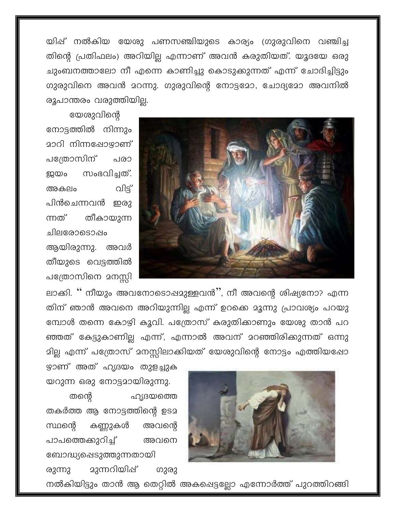യിഷ് നൽകിയ യേശു പണസഞ്ചിയുടെ കാര്യം ഗ്രുരുവിനെ വഞ്ചിച്ച തിന്റെ പ്രതിഫലം) അറിയില്ല എന്നാണ് അവൻ കരുതിയത്. യൂദയേ ഒരു ചുംബനത്താലോ നീ എന്നെ കാണിച്ചു കൊടുക്കുന്നത് എന്ന് ചോദിച്ചിട്ടും ഗുരുവിനെ അവൻ മറന്നു. ഗുരുവിന്റെ നോട്ടമോ, ചോദ്യമോ അവനിൽ രൂപാന്തരം വരുത്തിയില്ല.



യേശുവിന്റെ നോട്ടത്തിൽ നിന്നും മാറി നിന്നപ്പോ<u>ഴാ</u>ണ് പത്രോസിന് പരാ സംഭവിച്ചത്. ഇ്ലയം വിട്ട് അകലം പിൻചെന്നവൻ ഇരു തീകായുന്ന ന്നത് ചിലരോടൊഷം ആയിരുന്നു. അവർ

തീയുടെ വെട്ടത്തിൽ പത്രോസിനെ മനസ്സി

ലാക്കി. '' നീയും അവനോടൊഷമുള്ളവൻ'', നീ അവന്റെ ശിഷ്യനോ? എന്ന തിന് ഞാൻ അവനെ അറിയുന്നില്ല എന്ന് ഉറക്കെ മൂന്നു പ്രാവശ്യം പറയു മ്പോൾ തന്നെ കോഴി കൂവി. പത്രോസ് കരുതിക്കാണും യേശു താൻ പറ ഞ്ഞത് കേട്ടുകാണില്ല എന്ന്, എന്നാൽ അവന് മറഞ്ഞിരിക്കുന്നത് ഒന്നു മില്ല എന്ന് പത്രോസ് മനസ്സിലാക്കിയത് യേശുവിന്റെ നോട്ടം എത്തിയഷോ



ഴ്യാണ് അത് ഹൃദയം തുളച്ചുക യറുന്ന ഒരു നോട്ടമായിരുന്നു. തന്റെ ഹൃദയത്തെ തകർത്ത ആ നോട്ടത്തിന്റെ ഉടമ സ്ഥന്റെ കണ്ണുകൾ അവന്റെ പാപത്തെക്കുറിച്ച് അവനെ ബോദ്ധ്യപ്പെടുത്തുന്നതായി മുന്നറിയിഷ് രുന്നു ഗുരു

നൽകിയിട്ടും താൻ ആ തെറ്റിൽ അകപ്പെട്ടല്ലോ എന്നോർത്ത് പുറത്തിറങ്ങി